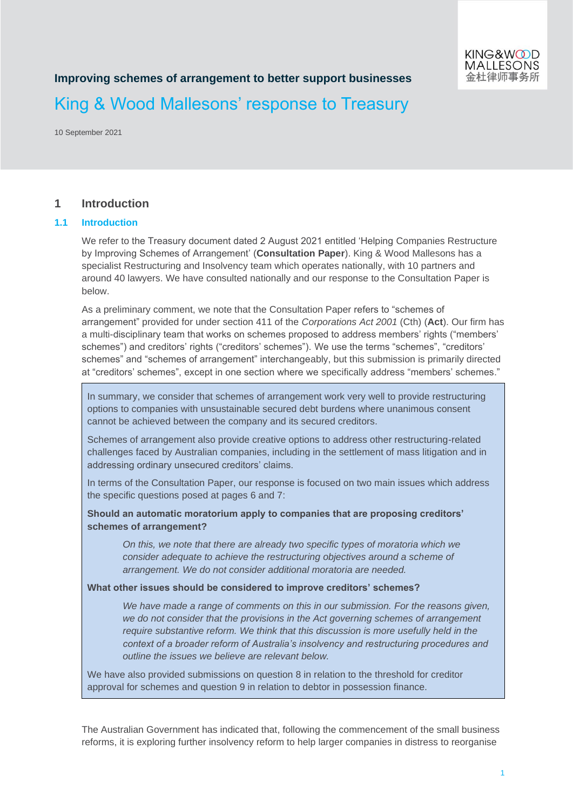# **Improving schemes of arrangement to better support businesses**

# King & Wood Mallesons' response to Treasury

10 September 2021

## **1 Introduction**

#### **1.1 Introduction**

We refer to the Treasury document dated 2 August 2021 entitled 'Helping Companies Restructure by Improving Schemes of Arrangement' (**Consultation Paper**). King & Wood Mallesons has a specialist Restructuring and Insolvency team which operates nationally, with 10 partners and around 40 lawyers. We have consulted nationally and our response to the Consultation Paper is below.

As a preliminary comment, we note that the Consultation Paper refers to "schemes of arrangement" provided for under section 411 of the *Corporations Act 2001* (Cth) (**Act**). Our firm has a multi-disciplinary team that works on schemes proposed to address members' rights ("members' schemes") and creditors' rights ("creditors' schemes"). We use the terms "schemes", "creditors' schemes" and "schemes of arrangement" interchangeably, but this submission is primarily directed at "creditors' schemes", except in one section where we specifically address "members' schemes."

In summary, we consider that schemes of arrangement work very well to provide restructuring options to companies with unsustainable secured debt burdens where unanimous consent cannot be achieved between the company and its secured creditors.

Schemes of arrangement also provide creative options to address other restructuring-related challenges faced by Australian companies, including in the settlement of mass litigation and in addressing ordinary unsecured creditors' claims.

In terms of the Consultation Paper, our response is focused on two main issues which address the specific questions posed at pages 6 and 7:

**Should an automatic moratorium apply to companies that are proposing creditors' schemes of arrangement?** 

*On this, we note that there are already two specific types of moratoria which we consider adequate to achieve the restructuring objectives around a scheme of arrangement. We do not consider additional moratoria are needed.* 

#### **What other issues should be considered to improve creditors' schemes?**

*We have made a range of comments on this in our submission. For the reasons given, we do not consider that the provisions in the Act governing schemes of arrangement require substantive reform. We think that this discussion is more usefully held in the context of a broader reform of Australia's insolvency and restructuring procedures and outline the issues we believe are relevant below.* 

We have also provided submissions on question 8 in relation to the threshold for creditor approval for schemes and question 9 in relation to debtor in possession finance.

The Australian Government has indicated that, following the commencement of the small business reforms, it is exploring further insolvency reform to help larger companies in distress to reorganise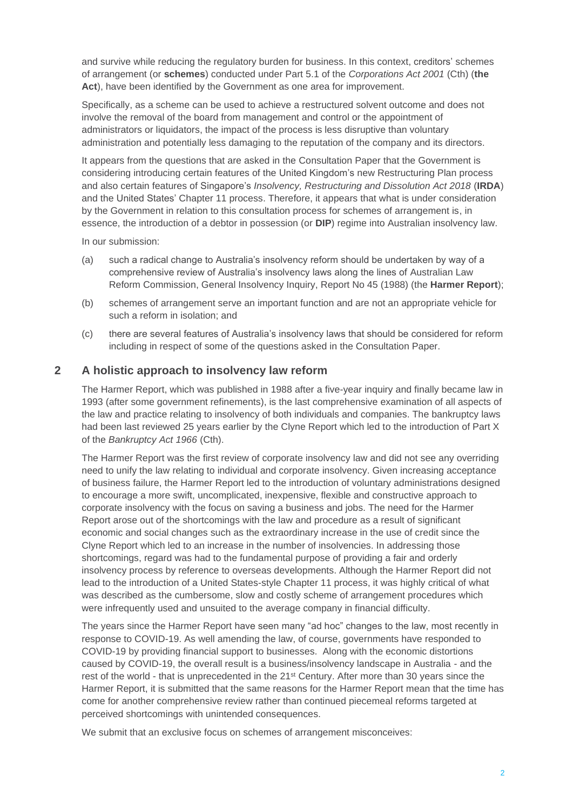and survive while reducing the regulatory burden for business. In this context, creditors' schemes of arrangement (or **schemes**) conducted under Part 5.1 of the *Corporations Act 2001* (Cth) (**the Act**), have been identified by the Government as one area for improvement.

Specifically, as a scheme can be used to achieve a restructured solvent outcome and does not involve the removal of the board from management and control or the appointment of administrators or liquidators, the impact of the process is less disruptive than voluntary administration and potentially less damaging to the reputation of the company and its directors.

It appears from the questions that are asked in the Consultation Paper that the Government is considering introducing certain features of the United Kingdom's new Restructuring Plan process and also certain features of Singapore's *Insolvency, Restructuring and Dissolution Act 2018* (**IRDA**) and the United States' Chapter 11 process. Therefore, it appears that what is under consideration by the Government in relation to this consultation process for schemes of arrangement is, in essence, the introduction of a debtor in possession (or **DIP**) regime into Australian insolvency law.

In our submission:

- (a) such a radical change to Australia's insolvency reform should be undertaken by way of a comprehensive review of Australia's insolvency laws along the lines of Australian Law Reform Commission, General Insolvency Inquiry, Report No 45 (1988) (the **Harmer Report**);
- (b) schemes of arrangement serve an important function and are not an appropriate vehicle for such a reform in isolation; and
- (c) there are several features of Australia's insolvency laws that should be considered for reform including in respect of some of the questions asked in the Consultation Paper.

## **2 A holistic approach to insolvency law reform**

The Harmer Report, which was published in 1988 after a five-year inquiry and finally became law in 1993 (after some government refinements), is the last comprehensive examination of all aspects of the law and practice relating to insolvency of both individuals and companies. The bankruptcy laws had been last reviewed 25 years earlier by the Clyne Report which led to the introduction of Part X of the *Bankruptcy Act 1966* (Cth).

The Harmer Report was the first review of corporate insolvency law and did not see any overriding need to unify the law relating to individual and corporate insolvency. Given increasing acceptance of business failure, the Harmer Report led to the introduction of voluntary administrations designed to encourage a more swift, uncomplicated, inexpensive, flexible and constructive approach to corporate insolvency with the focus on saving a business and jobs. The need for the Harmer Report arose out of the shortcomings with the law and procedure as a result of significant economic and social changes such as the extraordinary increase in the use of credit since the Clyne Report which led to an increase in the number of insolvencies. In addressing those shortcomings, regard was had to the fundamental purpose of providing a fair and orderly insolvency process by reference to overseas developments. Although the Harmer Report did not lead to the introduction of a United States-style Chapter 11 process, it was highly critical of what was described as the cumbersome, slow and costly scheme of arrangement procedures which were infrequently used and unsuited to the average company in financial difficulty.

The years since the Harmer Report have seen many "ad hoc" changes to the law, most recently in response to COVID-19. As well amending the law, of course, governments have responded to COVID-19 by providing financial support to businesses. Along with the economic distortions caused by COVID-19, the overall result is a business/insolvency landscape in Australia - and the rest of the world - that is unprecedented in the 21<sup>st</sup> Century. After more than 30 years since the Harmer Report, it is submitted that the same reasons for the Harmer Report mean that the time has come for another comprehensive review rather than continued piecemeal reforms targeted at perceived shortcomings with unintended consequences.

We submit that an exclusive focus on schemes of arrangement misconceives: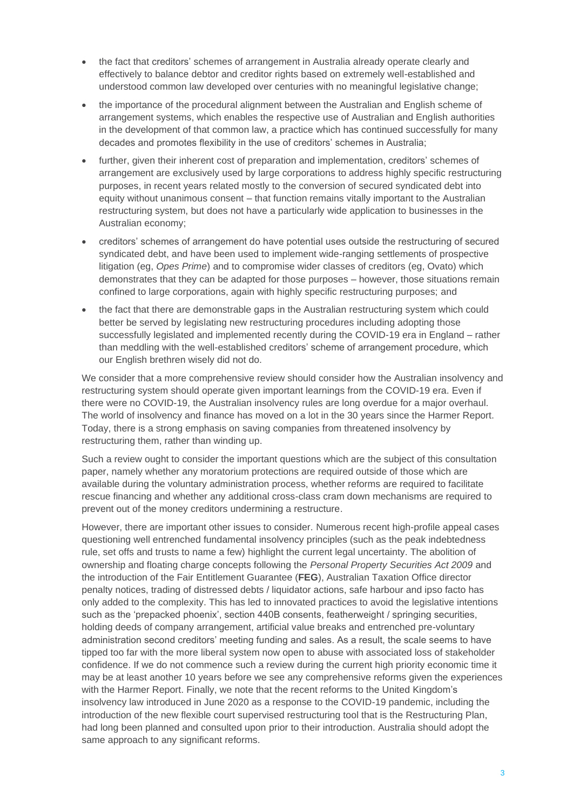- the fact that creditors' schemes of arrangement in Australia already operate clearly and effectively to balance debtor and creditor rights based on extremely well-established and understood common law developed over centuries with no meaningful legislative change;
- the importance of the procedural alignment between the Australian and English scheme of arrangement systems, which enables the respective use of Australian and English authorities in the development of that common law, a practice which has continued successfully for many decades and promotes flexibility in the use of creditors' schemes in Australia;
- further, given their inherent cost of preparation and implementation, creditors' schemes of arrangement are exclusively used by large corporations to address highly specific restructuring purposes, in recent years related mostly to the conversion of secured syndicated debt into equity without unanimous consent – that function remains vitally important to the Australian restructuring system, but does not have a particularly wide application to businesses in the Australian economy;
- creditors' schemes of arrangement do have potential uses outside the restructuring of secured syndicated debt, and have been used to implement wide-ranging settlements of prospective litigation (eg, *Opes Prime*) and to compromise wider classes of creditors (eg, Ovato) which demonstrates that they can be adapted for those purposes – however, those situations remain confined to large corporations, again with highly specific restructuring purposes; and
- the fact that there are demonstrable gaps in the Australian restructuring system which could better be served by legislating new restructuring procedures including adopting those successfully legislated and implemented recently during the COVID-19 era in England – rather than meddling with the well-established creditors' scheme of arrangement procedure, which our English brethren wisely did not do.

We consider that a more comprehensive review should consider how the Australian insolvency and restructuring system should operate given important learnings from the COVID-19 era. Even if there were no COVID-19, the Australian insolvency rules are long overdue for a major overhaul. The world of insolvency and finance has moved on a lot in the 30 years since the Harmer Report. Today, there is a strong emphasis on saving companies from threatened insolvency by restructuring them, rather than winding up.

Such a review ought to consider the important questions which are the subject of this consultation paper, namely whether any moratorium protections are required outside of those which are available during the voluntary administration process, whether reforms are required to facilitate rescue financing and whether any additional cross-class cram down mechanisms are required to prevent out of the money creditors undermining a restructure.

However, there are important other issues to consider. Numerous recent high-profile appeal cases questioning well entrenched fundamental insolvency principles (such as the peak indebtedness rule, set offs and trusts to name a few) highlight the current legal uncertainty. The abolition of ownership and floating charge concepts following the *Personal Property Securities Act 2009* and the introduction of the Fair Entitlement Guarantee (**FEG**), Australian Taxation Office director penalty notices, trading of distressed debts / liquidator actions, safe harbour and ipso facto has only added to the complexity. This has led to innovated practices to avoid the legislative intentions such as the 'prepacked phoenix', section 440B consents, featherweight / springing securities, holding deeds of company arrangement, artificial value breaks and entrenched pre-voluntary administration second creditors' meeting funding and sales. As a result, the scale seems to have tipped too far with the more liberal system now open to abuse with associated loss of stakeholder confidence. If we do not commence such a review during the current high priority economic time it may be at least another 10 years before we see any comprehensive reforms given the experiences with the Harmer Report. Finally, we note that the recent reforms to the United Kingdom's insolvency law introduced in June 2020 as a response to the COVID-19 pandemic, including the introduction of the new flexible court supervised restructuring tool that is the Restructuring Plan, had long been planned and consulted upon prior to their introduction. Australia should adopt the same approach to any significant reforms.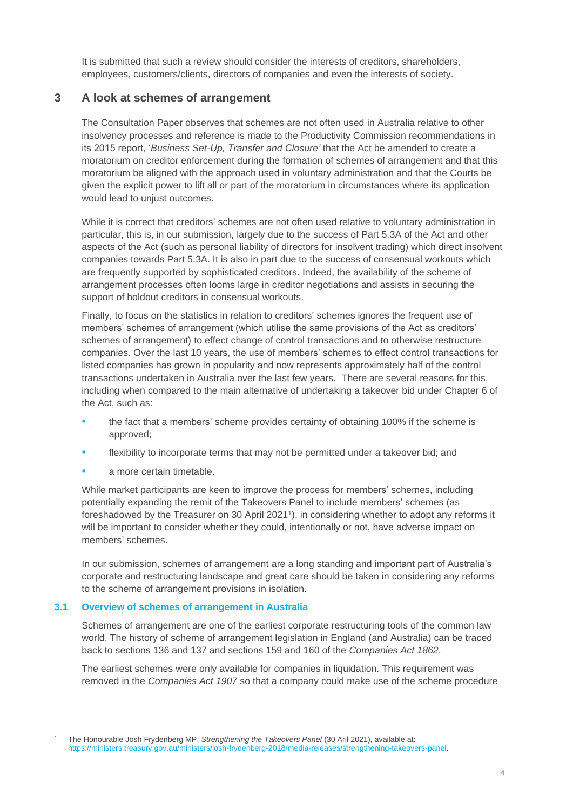It is submitted that such a review should consider the interests of creditors, shareholders, employees, customers/clients, directors of companies and even the interests of society.

## **3 A look at schemes of arrangement**

The Consultation Paper observes that schemes are not often used in Australia relative to other insolvency processes and reference is made to the Productivity Commission recommendations in its 2015 report, '*Business Set-Up, Transfer and Closure'* that the Act be amended to create a moratorium on creditor enforcement during the formation of schemes of arrangement and that this moratorium be aligned with the approach used in voluntary administration and that the Courts be given the explicit power to lift all or part of the moratorium in circumstances where its application would lead to unjust outcomes.

While it is correct that creditors' schemes are not often used relative to voluntary administration in particular, this is, in our submission, largely due to the success of Part 5.3A of the Act and other aspects of the Act (such as personal liability of directors for insolvent trading) which direct insolvent companies towards Part 5.3A. It is also in part due to the success of consensual workouts which are frequently supported by sophisticated creditors. Indeed, the availability of the scheme of arrangement processes often looms large in creditor negotiations and assists in securing the support of holdout creditors in consensual workouts.

Finally, to focus on the statistics in relation to creditors' schemes ignores the frequent use of members' schemes of arrangement (which utilise the same provisions of the Act as creditors' schemes of arrangement) to effect change of control transactions and to otherwise restructure companies. Over the last 10 years, the use of members' schemes to effect control transactions for listed companies has grown in popularity and now represents approximately half of the control transactions undertaken in Australia over the last few years. There are several reasons for this, including when compared to the main alternative of undertaking a takeover bid under Chapter 6 of the Act, such as:

- the fact that a members' scheme provides certainty of obtaining 100% if the scheme is approved;
- flexibility to incorporate terms that may not be permitted under a takeover bid; and
- a more certain timetable.

While market participants are keen to improve the process for members' schemes, including potentially expanding the remit of the Takeovers Panel to include members' schemes (as foreshadowed by the Treasurer on 30 April 2021<sup>1</sup>), in considering whether to adopt any reforms it will be important to consider whether they could, intentionally or not, have adverse impact on members' schemes.

In our submission, schemes of arrangement are a long standing and important part of Australia's corporate and restructuring landscape and great care should be taken in considering any reforms to the scheme of arrangement provisions in isolation.

## **3.1 Overview of schemes of arrangement in Australia**

Schemes of arrangement are one of the earliest corporate restructuring tools of the common law world. The history of scheme of arrangement legislation in England (and Australia) can be traced back to sections 136 and 137 and sections 159 and 160 of the *Companies Act 1862*.

The earliest schemes were only available for companies in liquidation. This requirement was removed in the *Companies Act 1907* so that a company could make use of the scheme procedure

<sup>1</sup> The Honourable Josh Frydenberg MP, *Strengthening the Takeovers Panel* (30 Aril 2021), available at: [https://ministers.treasury.gov.au/ministers/josh-frydenberg-2018/media-releases/strengthening-takeovers-panel.](https://ministers.treasury.gov.au/ministers/josh-frydenberg-2018/media-releases/strengthening-takeovers-panel)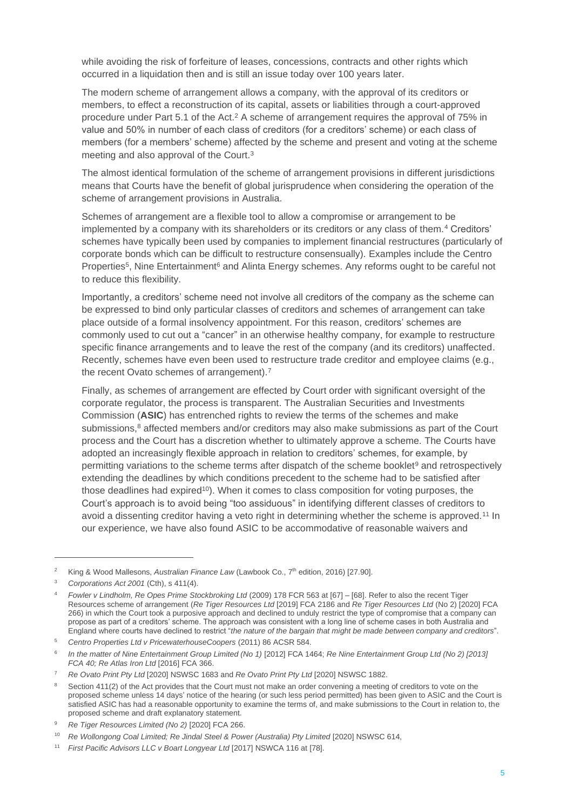while avoiding the risk of forfeiture of leases, concessions, contracts and other rights which occurred in a liquidation then and is still an issue today over 100 years later.

The modern scheme of arrangement allows a company, with the approval of its creditors or members, to effect a reconstruction of its capital, assets or liabilities through a court-approved procedure under Part 5.1 of the Act.<sup>2</sup> A scheme of arrangement requires the approval of 75% in value and 50% in number of each class of creditors (for a creditors' scheme) or each class of members (for a members' scheme) affected by the scheme and present and voting at the scheme meeting and also approval of the Court.<sup>3</sup>

The almost identical formulation of the scheme of arrangement provisions in different jurisdictions means that Courts have the benefit of global jurisprudence when considering the operation of the scheme of arrangement provisions in Australia.

Schemes of arrangement are a flexible tool to allow a compromise or arrangement to be implemented by a company with its shareholders or its creditors or any class of them.<sup>4</sup> Creditors' schemes have typically been used by companies to implement financial restructures (particularly of corporate bonds which can be difficult to restructure consensually). Examples include the Centro Properties<sup>5</sup>, Nine Entertainment<sup>6</sup> and Alinta Energy schemes. Any reforms ought to be careful not to reduce this flexibility.

Importantly, a creditors' scheme need not involve all creditors of the company as the scheme can be expressed to bind only particular classes of creditors and schemes of arrangement can take place outside of a formal insolvency appointment. For this reason, creditors' schemes are commonly used to cut out a "cancer" in an otherwise healthy company, for example to restructure specific finance arrangements and to leave the rest of the company (and its creditors) unaffected. Recently, schemes have even been used to restructure trade creditor and employee claims (e.g., the recent Ovato schemes of arrangement).<sup>7</sup>

Finally, as schemes of arrangement are effected by Court order with significant oversight of the corporate regulator, the process is transparent. The Australian Securities and Investments Commission (**ASIC**) has entrenched rights to review the terms of the schemes and make submissions, $8$  affected members and/or creditors may also make submissions as part of the Court process and the Court has a discretion whether to ultimately approve a scheme. The Courts have adopted an increasingly flexible approach in relation to creditors' schemes, for example, by permitting variations to the scheme terms after dispatch of the scheme booklet<sup>9</sup> and retrospectively extending the deadlines by which conditions precedent to the scheme had to be satisfied after those deadlines had expired<sup>10</sup>). When it comes to class composition for voting purposes, the Court's approach is to avoid being "too assiduous" in identifying different classes of creditors to avoid a dissenting creditor having a veto right in determining whether the scheme is approved.<sup>11</sup> In our experience, we have also found ASIC to be accommodative of reasonable waivers and

<sup>&</sup>lt;sup>2</sup> King & Wood Mallesons, *Australian Finance Law* (Lawbook Co., 7<sup>th</sup> edition, 2016) [27.90].

<sup>3</sup> *Corporations Act 2001* (Cth), s 411(4).

<sup>4</sup> *Fowler v Lindholm, Re Opes Prime Stockbroking Ltd* (2009) 178 FCR 563 at [67] – [68]. Refer to also the recent Tiger Resources scheme of arrangement (*Re Tiger Resources Ltd* [2019] FCA 2186 and *Re Tiger Resources Ltd* (No 2) [2020] FCA 266) in which the Court took a purposive approach and declined to unduly restrict the type of compromise that a company can propose as part of a creditors' scheme. The approach was consistent with a long line of scheme cases in both Australia and England where courts have declined to restrict "*the nature of the bargain that might be made between company and creditors*".

<sup>5</sup> *Centro Properties Ltd v PricewaterhouseCoopers* (2011) 86 ACSR 584.

<sup>6</sup> *In the matter of Nine Entertainment Group Limited (No 1)* [2012] FCA 1464; *Re Nine Entertainment Group Ltd (No 2) [2013] FCA 40; Re Atlas Iron Ltd* [2016] FCA 366.

<sup>7</sup> *Re Ovato Print Pty Ltd* [2020] NSWSC 1683 and *Re Ovato Print Pty Ltd* [2020] NSWSC 1882.

Section 411(2) of the Act provides that the Court must not make an order convening a meeting of creditors to vote on the proposed scheme unless 14 days' notice of the hearing (or such less period permitted) has been given to ASIC and the Court is satisfied ASIC has had a reasonable opportunity to examine the terms of, and make submissions to the Court in relation to, the proposed scheme and draft explanatory statement.

<sup>9</sup> *Re Tiger Resources Limited (No 2)* [2020] FCA 266.

<sup>10</sup> *Re Wollongong Coal Limited; Re Jindal Steel & Power (Australia) Pty Limited* [2020] NSWSC 614,

<sup>11</sup> *First Pacific Advisors LLC v Boart Longyear Ltd* [2017] NSWCA 116 at [78].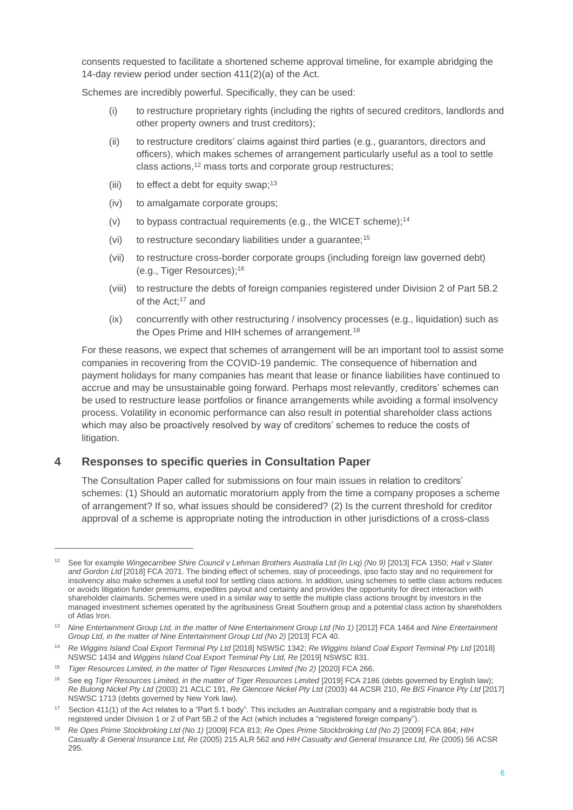consents requested to facilitate a shortened scheme approval timeline, for example abridging the 14-day review period under section 411(2)(a) of the Act.

Schemes are incredibly powerful. Specifically, they can be used:

- (i) to restructure proprietary rights (including the rights of secured creditors, landlords and other property owners and trust creditors);
- (ii) to restructure creditors' claims against third parties (e.g., guarantors, directors and officers), which makes schemes of arrangement particularly useful as a tool to settle class actions, <sup>12</sup> mass torts and corporate group restructures;
- (iii) to effect a debt for equity swap;<sup>13</sup>
- (iv) to amalgamate corporate groups;
- (v) to bypass contractual requirements (e.g., the WICET scheme);<sup>14</sup>
- (vi) to restructure secondary liabilities under a quarantee;<sup>15</sup>
- (vii) to restructure cross-border corporate groups (including foreign law governed debt) (e.g., Tiger Resources); 16
- (viii) to restructure the debts of foreign companies registered under Division 2 of Part 5B.2 of the Act;<sup>17</sup> and
- (ix) concurrently with other restructuring / insolvency processes (e.g., liquidation) such as the Opes Prime and HIH schemes of arrangement.<sup>18</sup>

For these reasons, we expect that schemes of arrangement will be an important tool to assist some companies in recovering from the COVID-19 pandemic. The consequence of hibernation and payment holidays for many companies has meant that lease or finance liabilities have continued to accrue and may be unsustainable going forward. Perhaps most relevantly, creditors' schemes can be used to restructure lease portfolios or finance arrangements while avoiding a formal insolvency process. Volatility in economic performance can also result in potential shareholder class actions which may also be proactively resolved by way of creditors' schemes to reduce the costs of litigation.

# **4 Responses to specific queries in Consultation Paper**

The Consultation Paper called for submissions on four main issues in relation to creditors' schemes: (1) Should an automatic moratorium apply from the time a company proposes a scheme of arrangement? If so, what issues should be considered? (2) Is the current threshold for creditor approval of a scheme is appropriate noting the introduction in other jurisdictions of a cross-class

<sup>12</sup> See for example *Wingecarribee Shire Council v Lehman Brothers Australia Ltd (In Liq) (No 9)* [2013] FCA 1350; *Hall v Slater and Gordon Ltd* [2018] FCA 2071. The binding effect of schemes, stay of proceedings, ipso facto stay and no requirement for insolvency also make schemes a useful tool for settling class actions. In addition, using schemes to settle class actions reduces or avoids litigation funder premiums, expedites payout and certainty and provides the opportunity for direct interaction with shareholder claimants. Schemes were used in a similar way to settle the multiple class actions brought by investors in the managed investment schemes operated by the agribusiness Great Southern group and a potential class action by shareholders of Atlas Iron.

<sup>13</sup> *Nine Entertainment Group Ltd, in the matter of Nine Entertainment Group Ltd (No 1)* [2012] FCA 1464 and *Nine Entertainment Group Ltd, in the matter of Nine Entertainment Group Ltd (No 2)* [2013] FCA 40.

<sup>14</sup> *Re Wiggins Island Coal Export Terminal Pty Ltd* [2018] NSWSC 1342; *Re Wiggins Island Coal Export Terminal Pty Ltd* [2018] NSWSC 1434 and *Wiggins Island Coal Export Terminal Pty Ltd, Re* [2019] NSWSC 831.

<sup>15</sup> *Tiger Resources Limited, in the matter of Tiger Resources Limited (No 2)* [2020] FCA 266.

<sup>&</sup>lt;sup>16</sup> See eg *Tiger Resources Limited, in the matter of Tiger Resources Limited* [2019] FCA 2186 (debts governed by English law); *Re Bulong Nickel Pty Ltd* (2003) 21 ACLC 191, *Re Glencore Nickel Pty Ltd* (2003) 44 ACSR 210, *Re BIS Finance Pty Ltd* [2017] NSWSC 1713 (debts governed by New York law).

<sup>&</sup>lt;sup>17</sup> Section 411(1) of the Act relates to a "Part 5.1 body". This includes an Australian company and a registrable body that is registered under Division 1 or 2 of Part 5B.2 of the Act (which includes a "registered foreign company").

<sup>18</sup> *Re Opes Prime Stockbroking Ltd (No 1)* [2009] FCA 813; *Re Opes Prime Stockbroking Ltd (No 2)* [2009] FCA 864; *HIH Casualty & General Insurance Ltd, Re* (2005) 215 ALR 562 and *HIH Casualty and General Insurance Ltd, Re* (2005) 56 ACSR 295.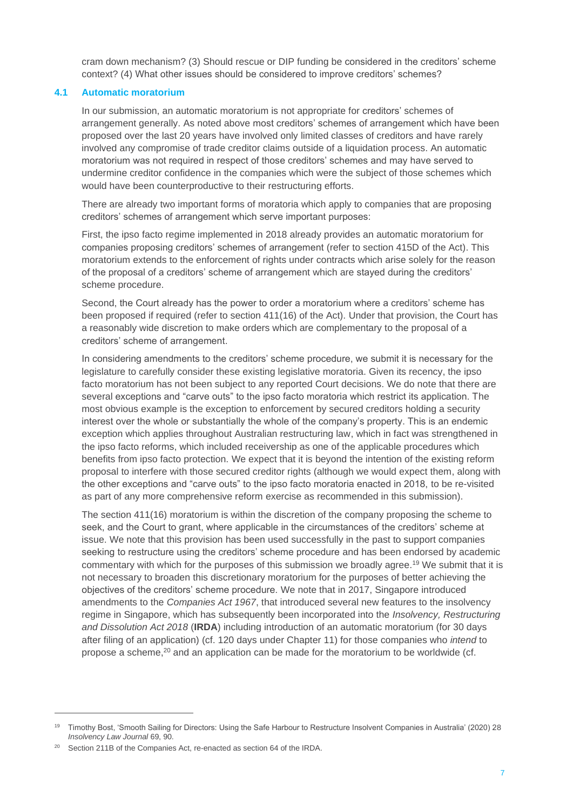cram down mechanism? (3) Should rescue or DIP funding be considered in the creditors' scheme context? (4) What other issues should be considered to improve creditors' schemes?

## **4.1 Automatic moratorium**

In our submission, an automatic moratorium is not appropriate for creditors' schemes of arrangement generally. As noted above most creditors' schemes of arrangement which have been proposed over the last 20 years have involved only limited classes of creditors and have rarely involved any compromise of trade creditor claims outside of a liquidation process. An automatic moratorium was not required in respect of those creditors' schemes and may have served to undermine creditor confidence in the companies which were the subject of those schemes which would have been counterproductive to their restructuring efforts.

There are already two important forms of moratoria which apply to companies that are proposing creditors' schemes of arrangement which serve important purposes:

First, the ipso facto regime implemented in 2018 already provides an automatic moratorium for companies proposing creditors' schemes of arrangement (refer to section 415D of the Act). This moratorium extends to the enforcement of rights under contracts which arise solely for the reason of the proposal of a creditors' scheme of arrangement which are stayed during the creditors' scheme procedure.

Second, the Court already has the power to order a moratorium where a creditors' scheme has been proposed if required (refer to section 411(16) of the Act). Under that provision, the Court has a reasonably wide discretion to make orders which are complementary to the proposal of a creditors' scheme of arrangement.

In considering amendments to the creditors' scheme procedure, we submit it is necessary for the legislature to carefully consider these existing legislative moratoria. Given its recency, the ipso facto moratorium has not been subject to any reported Court decisions. We do note that there are several exceptions and "carve outs" to the ipso facto moratoria which restrict its application. The most obvious example is the exception to enforcement by secured creditors holding a security interest over the whole or substantially the whole of the company's property. This is an endemic exception which applies throughout Australian restructuring law, which in fact was strengthened in the ipso facto reforms, which included receivership as one of the applicable procedures which benefits from ipso facto protection. We expect that it is beyond the intention of the existing reform proposal to interfere with those secured creditor rights (although we would expect them, along with the other exceptions and "carve outs" to the ipso facto moratoria enacted in 2018, to be re-visited as part of any more comprehensive reform exercise as recommended in this submission).

The section 411(16) moratorium is within the discretion of the company proposing the scheme to seek, and the Court to grant, where applicable in the circumstances of the creditors' scheme at issue. We note that this provision has been used successfully in the past to support companies seeking to restructure using the creditors' scheme procedure and has been endorsed by academic commentary with which for the purposes of this submission we broadly agree.<sup>19</sup> We submit that it is not necessary to broaden this discretionary moratorium for the purposes of better achieving the objectives of the creditors' scheme procedure. We note that in 2017, Singapore introduced amendments to the *Companies Act 1967*, that introduced several new features to the insolvency regime in Singapore, which has subsequently been incorporated into the *Insolvency, Restructuring and Dissolution Act 2018* (**IRDA**) including introduction of an automatic moratorium (for 30 days after filing of an application) (cf. 120 days under Chapter 11) for those companies who *intend* to propose a scheme,<sup>20</sup> and an application can be made for the moratorium to be worldwide (cf.

<sup>&</sup>lt;sup>19</sup> Timothy Bost, 'Smooth Sailing for Directors: Using the Safe Harbour to Restructure Insolvent Companies in Australia' (2020) 28 *Insolvency Law Journal* 69, 90.

<sup>&</sup>lt;sup>20</sup> Section 211B of the Companies Act, re-enacted as section 64 of the IRDA.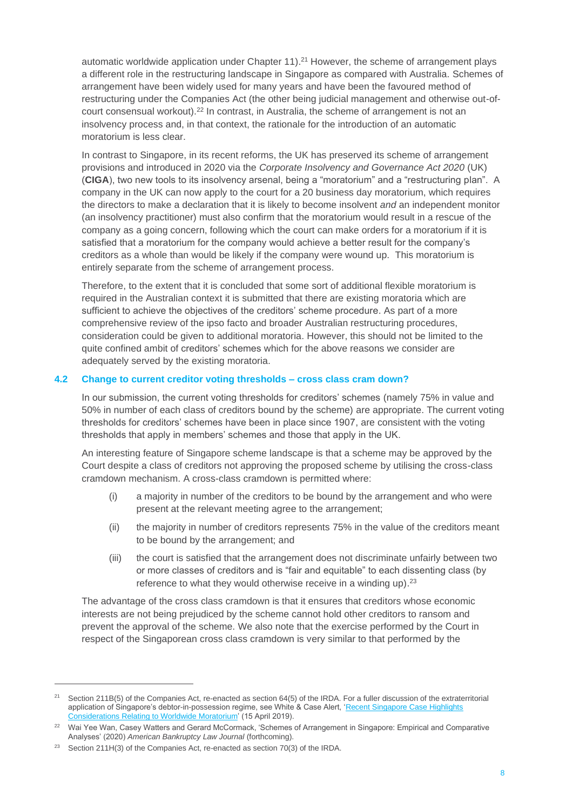automatic worldwide application under Chapter 11).<sup>21</sup> However, the scheme of arrangement plays a different role in the restructuring landscape in Singapore as compared with Australia. Schemes of arrangement have been widely used for many years and have been the favoured method of restructuring under the Companies Act (the other being judicial management and otherwise out-ofcourt consensual workout).<sup>22</sup> In contrast, in Australia, the scheme of arrangement is not an insolvency process and, in that context, the rationale for the introduction of an automatic moratorium is less clear.

In contrast to Singapore, in its recent reforms, the UK has preserved its scheme of arrangement provisions and introduced in 2020 via the *Corporate Insolvency and Governance Act 2020* (UK) (**CIGA**), two new tools to its insolvency arsenal, being a "moratorium" and a "restructuring plan". A company in the UK can now apply to the court for a 20 business day moratorium, which requires the directors to make a declaration that it is likely to become insolvent *and* an independent monitor (an insolvency practitioner) must also confirm that the moratorium would result in a rescue of the company as a going concern, following which the court can make orders for a moratorium if it is satisfied that a moratorium for the company would achieve a better result for the company's creditors as a whole than would be likely if the company were wound up. This moratorium is entirely separate from the scheme of arrangement process.

Therefore, to the extent that it is concluded that some sort of additional flexible moratorium is required in the Australian context it is submitted that there are existing moratoria which are sufficient to achieve the objectives of the creditors' scheme procedure. As part of a more comprehensive review of the ipso facto and broader Australian restructuring procedures, consideration could be given to additional moratoria. However, this should not be limited to the quite confined ambit of creditors' schemes which for the above reasons we consider are adequately served by the existing moratoria.

## **4.2 Change to current creditor voting thresholds – cross class cram down?**

In our submission, the current voting thresholds for creditors' schemes (namely 75% in value and 50% in number of each class of creditors bound by the scheme) are appropriate. The current voting thresholds for creditors' schemes have been in place since 1907, are consistent with the voting thresholds that apply in members' schemes and those that apply in the UK.

An interesting feature of Singapore scheme landscape is that a scheme may be approved by the Court despite a class of creditors not approving the proposed scheme by utilising the cross-class cramdown mechanism. A cross-class cramdown is permitted where:

- (i) a majority in number of the creditors to be bound by the arrangement and who were present at the relevant meeting agree to the arrangement;
- (ii) the majority in number of creditors represents 75% in the value of the creditors meant to be bound by the arrangement; and
- (iii) the court is satisfied that the arrangement does not discriminate unfairly between two or more classes of creditors and is "fair and equitable" to each dissenting class (by reference to what they would otherwise receive in a winding up).<sup>23</sup>

The advantage of the cross class cramdown is that it ensures that creditors whose economic interests are not being prejudiced by the scheme cannot hold other creditors to ransom and prevent the approval of the scheme. We also note that the exercise performed by the Court in respect of the Singaporean cross class cramdown is very similar to that performed by the

<sup>21</sup> Section 211B(5) of the Companies Act, re-enacted as section 64(5) of the IRDA. For a fuller discussion of the extraterritorial application of Singapore's debtor-in-possession regime, see White & Case Alert, ['Recent Singapore Case Highlights](https://www.whitecase.com/publications/alert/recent-singapore-case-highlights-considerations-relating-worldwide-moratorium)  [Considerations Relating to Worldwide Moratorium'](https://www.whitecase.com/publications/alert/recent-singapore-case-highlights-considerations-relating-worldwide-moratorium) (15 April 2019).

<sup>&</sup>lt;sup>22</sup> Wai Yee Wan, Casey Watters and Gerard McCormack, 'Schemes of Arrangement in Singapore: Empirical and Comparative Analyses' (2020) *American Bankruptcy Law Journal* (forthcoming).

<sup>&</sup>lt;sup>23</sup> Section 211H(3) of the Companies Act, re-enacted as section 70(3) of the IRDA.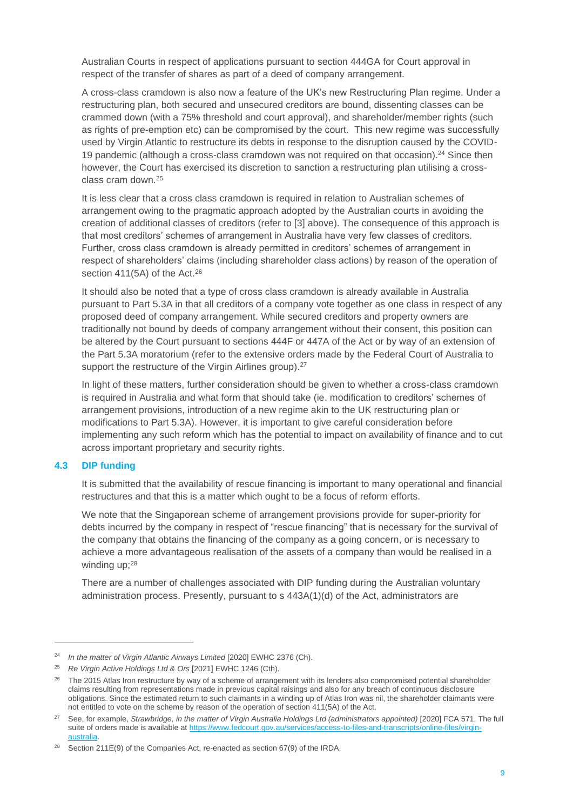Australian Courts in respect of applications pursuant to section 444GA for Court approval in respect of the transfer of shares as part of a deed of company arrangement.

A cross-class cramdown is also now a feature of the UK's new Restructuring Plan regime. Under a restructuring plan, both secured and unsecured creditors are bound, dissenting classes can be crammed down (with a 75% threshold and court approval), and shareholder/member rights (such as rights of pre-emption etc) can be compromised by the court. This new regime was successfully used by Virgin Atlantic to restructure its debts in response to the disruption caused by the COVID-19 pandemic (although a cross-class cramdown was not required on that occasion).<sup>24</sup> Since then however, the Court has exercised its discretion to sanction a restructuring plan utilising a crossclass cram down.<sup>25</sup>

It is less clear that a cross class cramdown is required in relation to Australian schemes of arrangement owing to the pragmatic approach adopted by the Australian courts in avoiding the creation of additional classes of creditors (refer to [3] above). The consequence of this approach is that most creditors' schemes of arrangement in Australia have very few classes of creditors. Further, cross class cramdown is already permitted in creditors' schemes of arrangement in respect of shareholders' claims (including shareholder class actions) by reason of the operation of section 411(5A) of the Act.<sup>26</sup>

It should also be noted that a type of cross class cramdown is already available in Australia pursuant to Part 5.3A in that all creditors of a company vote together as one class in respect of any proposed deed of company arrangement. While secured creditors and property owners are traditionally not bound by deeds of company arrangement without their consent, this position can be altered by the Court pursuant to sections 444F or 447A of the Act or by way of an extension of the Part 5.3A moratorium (refer to the extensive orders made by the Federal Court of Australia to support the restructure of the Virgin Airlines group).<sup>27</sup>

In light of these matters, further consideration should be given to whether a cross-class cramdown is required in Australia and what form that should take (ie. modification to creditors' schemes of arrangement provisions, introduction of a new regime akin to the UK restructuring plan or modifications to Part 5.3A). However, it is important to give careful consideration before implementing any such reform which has the potential to impact on availability of finance and to cut across important proprietary and security rights.

#### **4.3 DIP funding**

It is submitted that the availability of rescue financing is important to many operational and financial restructures and that this is a matter which ought to be a focus of reform efforts.

We note that the Singaporean scheme of arrangement provisions provide for super-priority for debts incurred by the company in respect of "rescue financing" that is necessary for the survival of the company that obtains the financing of the company as a going concern, or is necessary to achieve a more advantageous realisation of the assets of a company than would be realised in a winding up: 28

There are a number of challenges associated with DIP funding during the Australian voluntary administration process. Presently, pursuant to s 443A(1)(d) of the Act, administrators are

<sup>&</sup>lt;sup>24</sup> *In the matter of Virgin Atlantic Airways Limited* [2020] EWHC 2376 (Ch).

<sup>25</sup> *Re Virgin Active Holdings Ltd & Ors* [2021] EWHC 1246 (Cth).

<sup>&</sup>lt;sup>26</sup> The 2015 Atlas Iron restructure by way of a scheme of arrangement with its lenders also compromised potential shareholder claims resulting from representations made in previous capital raisings and also for any breach of continuous disclosure obligations. Since the estimated return to such claimants in a winding up of Atlas Iron was nil, the shareholder claimants were not entitled to vote on the scheme by reason of the operation of section 411(5A) of the Act.

<sup>27</sup> See, for example, *Strawbridge, in the matter of Virgin Australia Holdings Ltd (administrators appointed)* [2020] FCA 571, The full suite of orders made is available a[t https://www.fedcourt.gov.au/services/access-to-files-and-transcripts/online-files/virgin](https://www.fedcourt.gov.au/services/access-to-files-and-transcripts/online-files/virgin-australia)[australia.](https://www.fedcourt.gov.au/services/access-to-files-and-transcripts/online-files/virgin-australia)

<sup>&</sup>lt;sup>28</sup> Section 211E(9) of the Companies Act, re-enacted as section  $67(9)$  of the IRDA.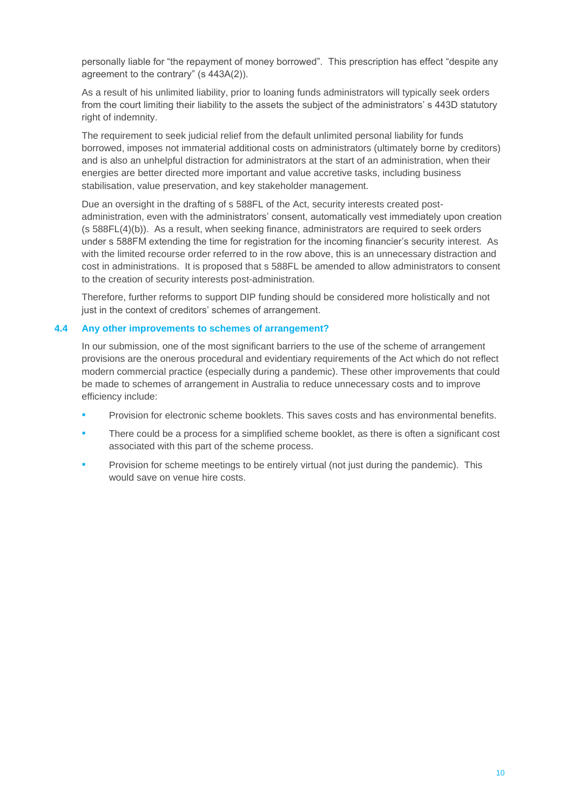personally liable for "the repayment of money borrowed". This prescription has effect "despite any agreement to the contrary" (s 443A(2)).

As a result of his unlimited liability, prior to loaning funds administrators will typically seek orders from the court limiting their liability to the assets the subject of the administrators' s 443D statutory right of indemnity.

The requirement to seek judicial relief from the default unlimited personal liability for funds borrowed, imposes not immaterial additional costs on administrators (ultimately borne by creditors) and is also an unhelpful distraction for administrators at the start of an administration, when their energies are better directed more important and value accretive tasks, including business stabilisation, value preservation, and key stakeholder management.

Due an oversight in the drafting of s 588FL of the Act, security interests created postadministration, even with the administrators' consent, automatically vest immediately upon creation (s 588FL(4)(b)). As a result, when seeking finance, administrators are required to seek orders under s 588FM extending the time for registration for the incoming financier's security interest. As with the limited recourse order referred to in the row above, this is an unnecessary distraction and cost in administrations. It is proposed that s 588FL be amended to allow administrators to consent to the creation of security interests post-administration.

Therefore, further reforms to support DIP funding should be considered more holistically and not just in the context of creditors' schemes of arrangement.

## **4.4 Any other improvements to schemes of arrangement?**

In our submission, one of the most significant barriers to the use of the scheme of arrangement provisions are the onerous procedural and evidentiary requirements of the Act which do not reflect modern commercial practice (especially during a pandemic). These other improvements that could be made to schemes of arrangement in Australia to reduce unnecessary costs and to improve efficiency include:

- Provision for electronic scheme booklets. This saves costs and has environmental benefits.
- There could be a process for a simplified scheme booklet, as there is often a significant cost associated with this part of the scheme process.
- Provision for scheme meetings to be entirely virtual (not just during the pandemic). This would save on venue hire costs.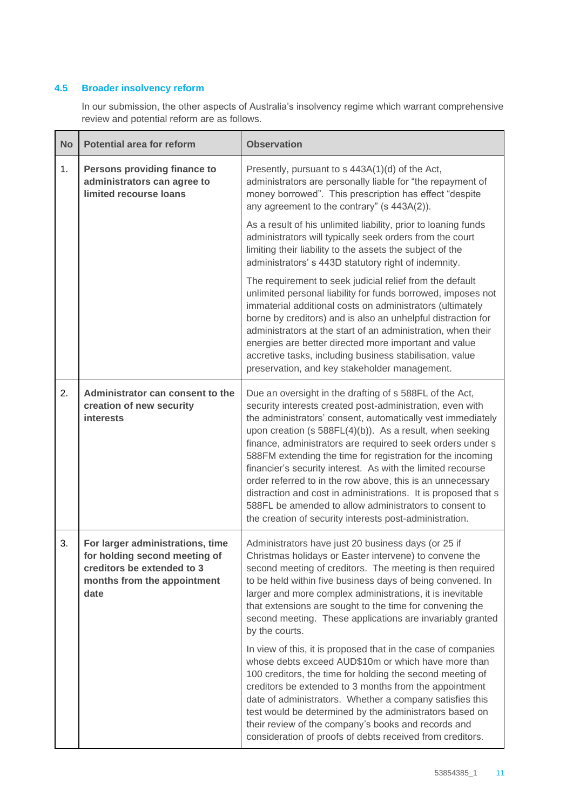## **4.5 Broader insolvency reform**

In our submission, the other aspects of Australia's insolvency regime which warrant comprehensive review and potential reform are as follows.

| <b>No</b> | <b>Potential area for reform</b>                                                                                                       | <b>Observation</b>                                                                                                                                                                                                                                                                                                                                                                                                                                                                                                                                                                                                                                                                               |
|-----------|----------------------------------------------------------------------------------------------------------------------------------------|--------------------------------------------------------------------------------------------------------------------------------------------------------------------------------------------------------------------------------------------------------------------------------------------------------------------------------------------------------------------------------------------------------------------------------------------------------------------------------------------------------------------------------------------------------------------------------------------------------------------------------------------------------------------------------------------------|
| 1.        | Persons providing finance to<br>administrators can agree to<br>limited recourse loans                                                  | Presently, pursuant to s 443A(1)(d) of the Act,<br>administrators are personally liable for "the repayment of<br>money borrowed". This prescription has effect "despite<br>any agreement to the contrary" (s 443A(2)).                                                                                                                                                                                                                                                                                                                                                                                                                                                                           |
|           |                                                                                                                                        | As a result of his unlimited liability, prior to loaning funds<br>administrators will typically seek orders from the court<br>limiting their liability to the assets the subject of the<br>administrators' s 443D statutory right of indemnity.                                                                                                                                                                                                                                                                                                                                                                                                                                                  |
|           |                                                                                                                                        | The requirement to seek judicial relief from the default<br>unlimited personal liability for funds borrowed, imposes not<br>immaterial additional costs on administrators (ultimately<br>borne by creditors) and is also an unhelpful distraction for<br>administrators at the start of an administration, when their<br>energies are better directed more important and value<br>accretive tasks, including business stabilisation, value<br>preservation, and key stakeholder management.                                                                                                                                                                                                      |
| 2.        | Administrator can consent to the<br>creation of new security<br><b>interests</b>                                                       | Due an oversight in the drafting of s 588FL of the Act,<br>security interests created post-administration, even with<br>the administrators' consent, automatically vest immediately<br>upon creation (s 588FL(4)(b)). As a result, when seeking<br>finance, administrators are required to seek orders under s<br>588FM extending the time for registration for the incoming<br>financier's security interest. As with the limited recourse<br>order referred to in the row above, this is an unnecessary<br>distraction and cost in administrations. It is proposed that s<br>588FL be amended to allow administrators to consent to<br>the creation of security interests post-administration. |
| 3.        | For larger administrations, time<br>for holding second meeting of<br>creditors be extended to 3<br>months from the appointment<br>date | Administrators have just 20 business days (or 25 if<br>Christmas holidays or Easter intervene) to convene the<br>second meeting of creditors. The meeting is then required<br>to be held within five business days of being convened. In<br>larger and more complex administrations, it is inevitable<br>that extensions are sought to the time for convening the<br>second meeting. These applications are invariably granted<br>by the courts.                                                                                                                                                                                                                                                 |
|           |                                                                                                                                        | In view of this, it is proposed that in the case of companies<br>whose debts exceed AUD\$10m or which have more than<br>100 creditors, the time for holding the second meeting of<br>creditors be extended to 3 months from the appointment<br>date of administrators. Whether a company satisfies this<br>test would be determined by the administrators based on<br>their review of the company's books and records and<br>consideration of proofs of debts received from creditors.                                                                                                                                                                                                           |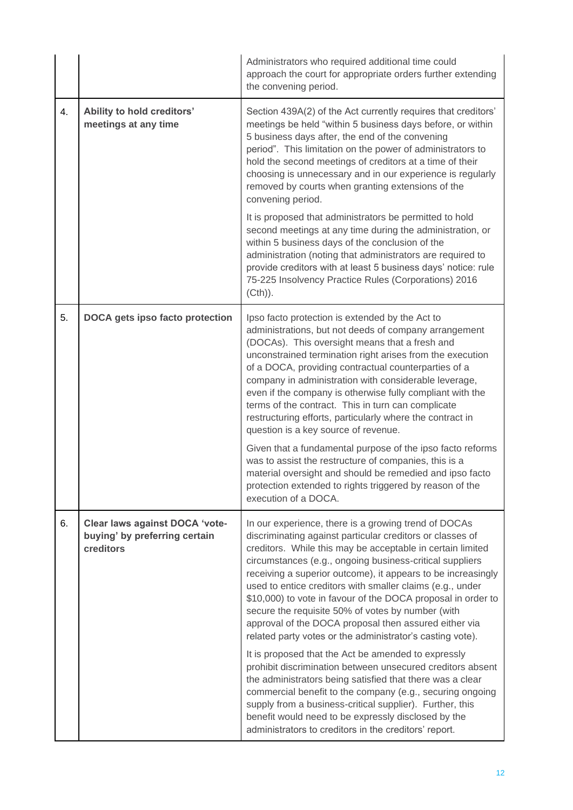|    |                                                                              | Administrators who required additional time could<br>approach the court for appropriate orders further extending<br>the convening period.                                                                                                                                                                                                                                                                                                                                                                                                                                                                           |
|----|------------------------------------------------------------------------------|---------------------------------------------------------------------------------------------------------------------------------------------------------------------------------------------------------------------------------------------------------------------------------------------------------------------------------------------------------------------------------------------------------------------------------------------------------------------------------------------------------------------------------------------------------------------------------------------------------------------|
| 4. | Ability to hold creditors'<br>meetings at any time                           | Section 439A(2) of the Act currently requires that creditors'<br>meetings be held "within 5 business days before, or within<br>5 business days after, the end of the convening<br>period". This limitation on the power of administrators to<br>hold the second meetings of creditors at a time of their<br>choosing is unnecessary and in our experience is regularly<br>removed by courts when granting extensions of the<br>convening period.                                                                                                                                                                    |
|    |                                                                              | It is proposed that administrators be permitted to hold<br>second meetings at any time during the administration, or<br>within 5 business days of the conclusion of the<br>administration (noting that administrators are required to<br>provide creditors with at least 5 business days' notice: rule<br>75-225 Insolvency Practice Rules (Corporations) 2016<br>$(Cth)$ ).                                                                                                                                                                                                                                        |
| 5. | DOCA gets ipso facto protection                                              | Ipso facto protection is extended by the Act to<br>administrations, but not deeds of company arrangement<br>(DOCAs). This oversight means that a fresh and<br>unconstrained termination right arises from the execution<br>of a DOCA, providing contractual counterparties of a<br>company in administration with considerable leverage,<br>even if the company is otherwise fully compliant with the<br>terms of the contract. This in turn can complicate<br>restructuring efforts, particularly where the contract in<br>question is a key source of revenue.                                                    |
|    |                                                                              | Given that a fundamental purpose of the ipso facto reforms<br>was to assist the restructure of companies, this is a<br>material oversight and should be remedied and ipso facto<br>protection extended to rights triggered by reason of the<br>execution of a DOCA.                                                                                                                                                                                                                                                                                                                                                 |
| 6. | Clear laws against DOCA 'vote-<br>buying' by preferring certain<br>creditors | In our experience, there is a growing trend of DOCAs<br>discriminating against particular creditors or classes of<br>creditors. While this may be acceptable in certain limited<br>circumstances (e.g., ongoing business-critical suppliers<br>receiving a superior outcome), it appears to be increasingly<br>used to entice creditors with smaller claims (e.g., under<br>\$10,000) to vote in favour of the DOCA proposal in order to<br>secure the requisite 50% of votes by number (with<br>approval of the DOCA proposal then assured either via<br>related party votes or the administrator's casting vote). |
|    |                                                                              | It is proposed that the Act be amended to expressly<br>prohibit discrimination between unsecured creditors absent<br>the administrators being satisfied that there was a clear<br>commercial benefit to the company (e.g., securing ongoing<br>supply from a business-critical supplier). Further, this<br>benefit would need to be expressly disclosed by the<br>administrators to creditors in the creditors' report.                                                                                                                                                                                             |